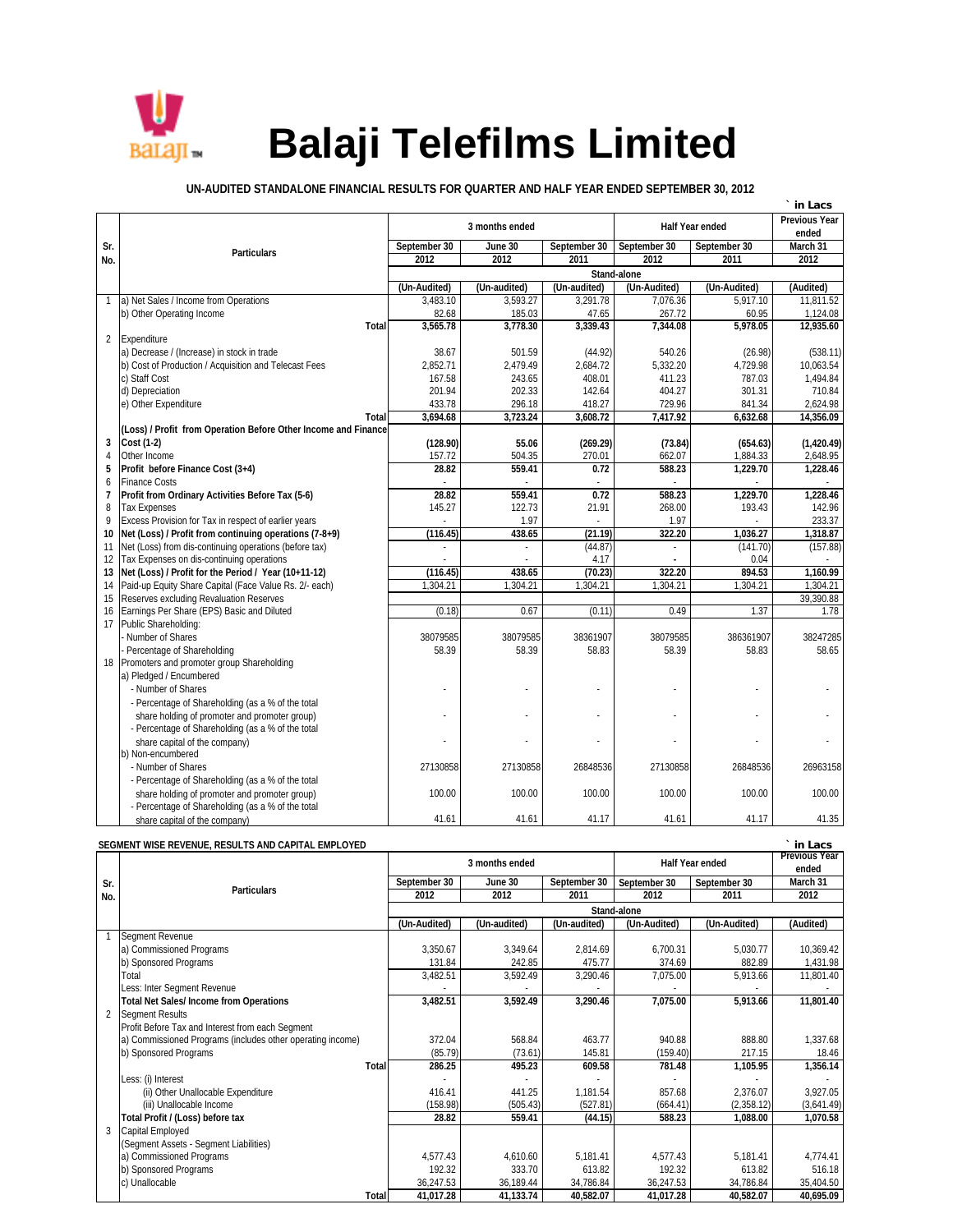

## **Balagi Telefilms Limited**

## **UN-AUDITED STANDALONE FINANCIAL RESULTS FOR QUARTER AND HALF YEAR ENDED SEPTEMBER 30, 2012**

|                          |                                                                |              |                |              |                        |                               | in Lacs    |  |
|--------------------------|----------------------------------------------------------------|--------------|----------------|--------------|------------------------|-------------------------------|------------|--|
|                          |                                                                |              | 3 months ended |              | <b>Half Year ended</b> | <b>Previous Year</b><br>ended |            |  |
| Sr.                      |                                                                | September 30 | June 30        | September 30 | September 30           | September 30                  | March 31   |  |
| No.                      | <b>Particulars</b>                                             | 2012         | 2012           | 2011         | 2012                   | 2011                          | 2012       |  |
|                          |                                                                |              |                |              | Stand-alone            |                               |            |  |
|                          |                                                                | (Un-Audited) | (Un-audited)   | (Un-audited) | (Un-Audited)           | (Un-Audited)                  | (Audited)  |  |
| 1                        | a) Net Sales / Income from Operations                          | 3.483.10     | 3.593.27       | 3.291.78     | 7.076.36               | 5.917.10                      | 11.811.52  |  |
|                          | b) Other Operating Income                                      | 82.68        | 185.03         | 47.65        | 267.72                 | 60.95                         | 1,124.08   |  |
|                          | <b>Total</b>                                                   | 3,565.78     | 3,778.30       | 3,339.43     | 7,344.08               | 5,978.05                      | 12,935.60  |  |
| $\overline{2}$           | Expenditure                                                    |              |                |              |                        |                               |            |  |
|                          | a) Decrease / (Increase) in stock in trade                     | 38.67        | 501.59         | (44.92)      | 540.26                 | (26.98)                       | (538.11)   |  |
|                          | b) Cost of Production / Acquisition and Telecast Fees          | 2.852.71     | 2.479.49       | 2.684.72     | 5,332.20               | 4.729.98                      | 10.063.54  |  |
|                          | c) Staff Cost                                                  | 167.58       | 243.65         | 408.01       | 411.23                 | 787.03                        | 1.494.84   |  |
|                          | d) Depreciation                                                | 201.94       | 202.33         | 142.64       | 404.27                 | 301.31                        | 710.84     |  |
|                          | e) Other Expenditure                                           | 433.78       | 296.18         | 418.27       | 729.96                 | 841.34                        | 2,624.98   |  |
|                          | <b>Total</b>                                                   | 3,694.68     | 3,723.24       | 3,608.72     | 7,417.92               | 6,632.68                      | 14,356.09  |  |
|                          | (Loss) / Profit from Operation Before Other Income and Finance |              |                |              |                        |                               |            |  |
| 3                        | Cost (1-2)                                                     | (128.90)     | 55.06          | (269.29)     | (73.84)                | (654.63)                      | (1,420.49) |  |
| $\overline{4}$           | Other Income                                                   | 157.72       | 504.35         | 270.01       | 662.07                 | 1,884.33                      | 2,648.95   |  |
| 5                        | Profit before Finance Cost (3+4)                               | 28.82        | 559.41         | 0.72         | 588.23                 | 1,229.70                      | 1,228.46   |  |
| 6                        | <b>Finance Costs</b>                                           |              |                |              |                        |                               |            |  |
| $\overline{\phantom{a}}$ | Profit from Ordinary Activities Before Tax (5-6)               | 28.82        | 559.41         | 0.72         | 588.23                 | 1.229.70                      | 1.228.46   |  |
| 8                        | <b>Tax Expenses</b>                                            | 145.27       | 122.73         | 21.91        | 268.00                 | 193.43                        | 142.96     |  |
| 9                        | Excess Provision for Tax in respect of earlier years           |              | 1.97           |              | 1.97                   |                               | 233.37     |  |
| 10                       | Net (Loss) / Profit from continuing operations (7-8+9)         | (116.45)     | 438.65         | (21.19)      | 322.20                 | 1,036.27                      | 1,318.87   |  |
| 11                       | Net (Loss) from dis-continuing operations (before tax)         |              |                | (44.87)      |                        | (141.70)                      | (157.88)   |  |
| 12                       | Tax Expenses on dis-continuing operations                      |              |                | 4.17         |                        | 0.04                          |            |  |
| 13                       | Net (Loss) / Profit for the Period / Year (10+11-12)           | (116.45)     | 438.65         | (70.23)      | 322.20                 | 894.53                        | 1.160.99   |  |
| 14                       | Paid-up Equity Share Capital (Face Value Rs. 2/- each)         | 1,304.21     | 1,304.21       | 1,304.21     | 1,304.21               | 1,304.21                      | 1,304.21   |  |
| 15                       | Reserves excluding Revaluation Reserves                        |              |                |              |                        |                               | 39,390.88  |  |
| 16                       | Earnings Per Share (EPS) Basic and Diluted                     | (0.18)       | 0.67           | (0.11)       | 0.49                   | 1.37                          | 1.78       |  |
| 17                       | Public Shareholding:                                           |              |                |              |                        |                               |            |  |
|                          | Number of Shares                                               | 38079585     | 38079585       | 38361907     | 38079585               | 386361907                     | 38247285   |  |
|                          | Percentage of Shareholding                                     | 58.39        | 58.39          | 58.83        | 58.39                  | 58.83                         | 58.65      |  |
| 18                       | Promoters and promoter group Shareholding                      |              |                |              |                        |                               |            |  |
|                          | a) Pledged / Encumbered                                        |              |                |              |                        |                               |            |  |
|                          | - Number of Shares                                             |              |                |              |                        |                               |            |  |
|                          | - Percentage of Shareholding (as a % of the total              |              |                |              |                        |                               |            |  |
|                          | share holding of promoter and promoter group)                  |              |                |              |                        | L                             |            |  |
|                          | - Percentage of Shareholding (as a % of the total              |              |                |              |                        |                               |            |  |
|                          | share capital of the company)                                  |              |                |              |                        | ÷                             |            |  |
|                          | b) Non-encumbered                                              |              |                |              |                        |                               |            |  |
|                          | - Number of Shares                                             | 27130858     | 27130858       | 26848536     | 27130858               | 26848536                      | 26963158   |  |
|                          | - Percentage of Shareholding (as a % of the total              |              |                |              |                        |                               |            |  |
|                          | share holding of promoter and promoter group)                  | 100.00       | 100.00         | 100.00       | 100.00                 | 100.00                        | 100.00     |  |
|                          | - Percentage of Shareholding (as a % of the total              |              |                |              |                        |                               |            |  |
|                          | share capital of the company)                                  | 41.61        | 41.61          | 41.17        | 41.61                  | 41.17                         | 41.35      |  |

| <b>SEGMENT WISE REVENUE.</b><br>. Results and capital employed | .acs |
|----------------------------------------------------------------|------|
|----------------------------------------------------------------|------|

|  | ın Lac. |
|--|---------|
|  |         |

|                |                                                            |                    | 3 months ended |              | <b>Half Year ended</b> | <b>Previous Year</b><br>ended |            |  |  |  |  |  |
|----------------|------------------------------------------------------------|--------------------|----------------|--------------|------------------------|-------------------------------|------------|--|--|--|--|--|
| Sr.            |                                                            | September 30       | June 30        | September 30 | September 30           | September 30                  | March 31   |  |  |  |  |  |
| No.            | <b>Particulars</b>                                         | 2012               | 2012           | 2011         | 2012                   | 2011                          | 2012       |  |  |  |  |  |
|                |                                                            | <b>Stand-alone</b> |                |              |                        |                               |            |  |  |  |  |  |
|                |                                                            | (Un-Audited)       | (Un-audited)   | (Un-audited) | (Un-Audited)           | (Un-Audited)                  | (Audited)  |  |  |  |  |  |
|                | Segment Revenue                                            |                    |                |              |                        |                               |            |  |  |  |  |  |
|                | a) Commissioned Programs                                   | 3,350.67           | 3,349.64       | 2,814.69     | 6.700.31               | 5,030.77                      | 10,369.42  |  |  |  |  |  |
|                | b) Sponsored Programs                                      | 131.84             | 242.85         | 475.77       | 374.69                 | 882.89                        | 1,431.98   |  |  |  |  |  |
|                | Total                                                      | 3,482.51           | 3,592.49       | 3,290.46     | 7,075.00               | 5,913.66                      | 11,801.40  |  |  |  |  |  |
|                | Less: Inter Segment Revenue                                |                    |                |              |                        |                               |            |  |  |  |  |  |
|                | <b>Total Net Sales/Income from Operations</b>              | 3,482.51           | 3,592.49       | 3,290.46     | 7,075.00               | 5,913.66                      | 11,801.40  |  |  |  |  |  |
| $\overline{2}$ | <b>Segment Results</b>                                     |                    |                |              |                        |                               |            |  |  |  |  |  |
|                | Profit Before Tax and Interest from each Segment           |                    |                |              |                        |                               |            |  |  |  |  |  |
|                | a) Commissioned Programs (includes other operating income) | 372.04             | 568.84         | 463.77       | 940.88                 | 888.80                        | 1,337.68   |  |  |  |  |  |
|                | b) Sponsored Programs                                      | (85.79)            | (73.61)        | 145.81       | (159.40)               | 217.15                        | 18.46      |  |  |  |  |  |
|                | Total                                                      | 286.25             | 495.23         | 609.58       | 781.48                 | 1,105.95                      | 1,356.14   |  |  |  |  |  |
|                | Less: (i) Interest                                         |                    |                |              |                        |                               |            |  |  |  |  |  |
|                | (ii) Other Unallocable Expenditure                         | 416.41             | 441.25         | 1,181.54     | 857.68                 | 2.376.07                      | 3,927.05   |  |  |  |  |  |
|                | (iii) Unallocable Income                                   | (158.98)           | (505.43)       | (527.81)     | (664.41)               | (2,358.12)                    | (3,641.49) |  |  |  |  |  |
|                | Total Profit / (Loss) before tax                           | 28.82              | 559.41         | (44.15)      | 588.23                 | 1.088.00                      | 1,070.58   |  |  |  |  |  |
| 3              | Capital Employed                                           |                    |                |              |                        |                               |            |  |  |  |  |  |
|                | (Segment Assets - Segment Liabilities)                     |                    |                |              |                        |                               |            |  |  |  |  |  |
|                | a) Commissioned Programs                                   | 4,577.43           | 4,610.60       | 5,181.41     | 4,577.43               | 5,181.41                      | 4,774.41   |  |  |  |  |  |
|                | b) Sponsored Programs                                      | 192.32             | 333.70         | 613.82       | 192.32                 | 613.82                        | 516.18     |  |  |  |  |  |
|                | c) Unallocable                                             | 36,247.53          | 36,189.44      | 34,786.84    | 36,247.53              | 34,786.84                     | 35,404.50  |  |  |  |  |  |
|                | Total                                                      | 41,017.28          | 41,133.74      | 40,582.07    | 41,017.28              | 40,582.07                     | 40,695.09  |  |  |  |  |  |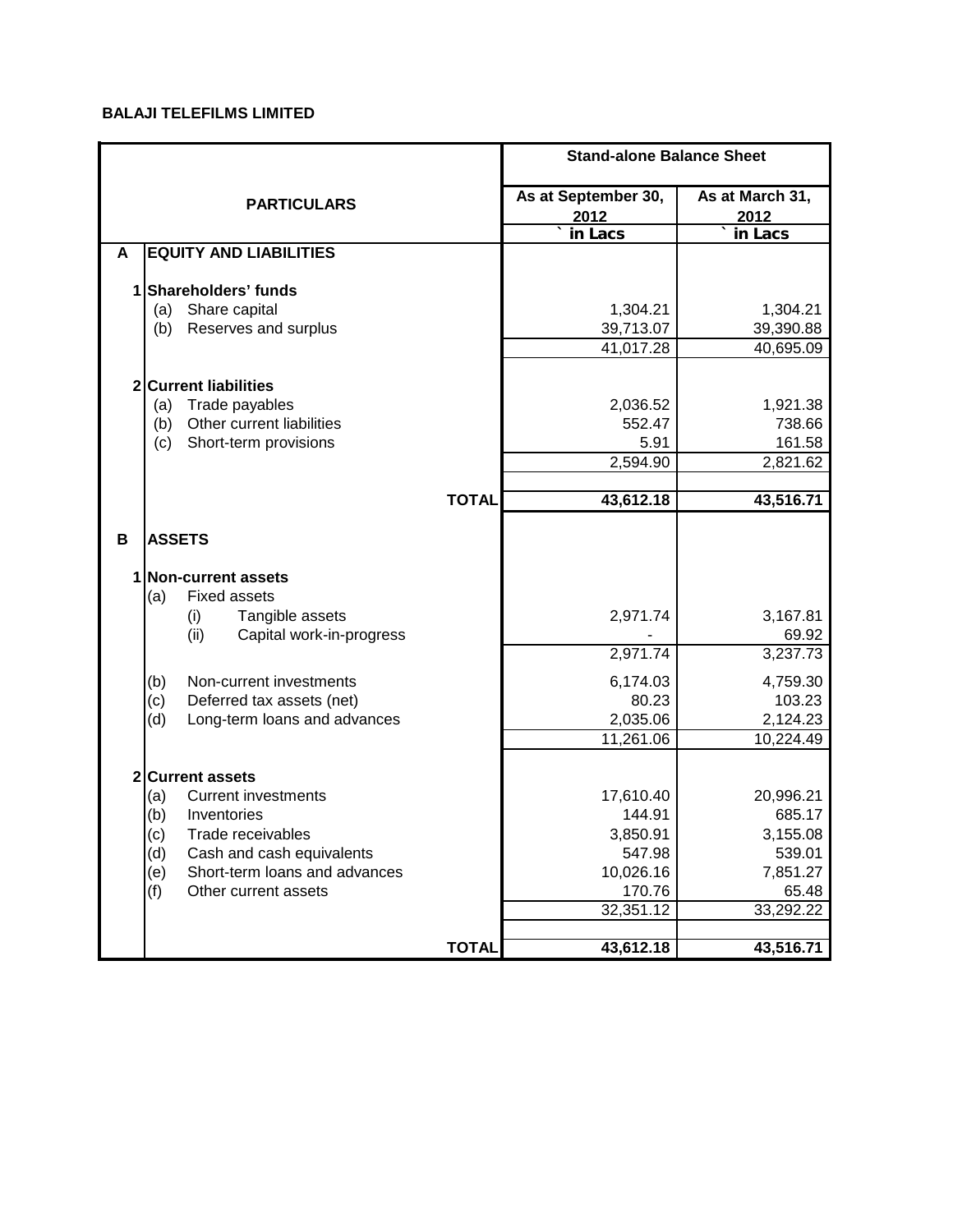## **BALAJI TELEFILMS LIMITED**

|                    |                                                            | <b>Stand-alone Balance Sheet</b> |                               |                    |  |  |
|--------------------|------------------------------------------------------------|----------------------------------|-------------------------------|--------------------|--|--|
|                    | <b>PARTICULARS</b>                                         | As at September 30,<br>2012      | As at March 31,<br>2012       |                    |  |  |
|                    |                                                            |                                  | in Lacs                       | in Lacs            |  |  |
| A                  | <b>EQUITY AND LIABILITIES</b>                              |                                  |                               |                    |  |  |
|                    | 1 Shareholders' funds                                      |                                  |                               |                    |  |  |
| (a)                | Share capital                                              |                                  | 1,304.21                      | 1,304.21           |  |  |
| (b)                | Reserves and surplus                                       |                                  | 39,713.07                     | 39,390.88          |  |  |
|                    |                                                            |                                  | 41,017.28                     | 40,695.09          |  |  |
|                    |                                                            |                                  |                               |                    |  |  |
|                    | <b>2 Current liabilities</b>                               |                                  |                               |                    |  |  |
| (a)                | Trade payables                                             |                                  | 2,036.52                      | 1,921.38           |  |  |
| (b)                | Other current liabilities                                  |                                  | 552.47                        | 738.66             |  |  |
| (c)                | Short-term provisions                                      |                                  | 5.91<br>$\overline{2,}594.90$ | 161.58<br>2,821.62 |  |  |
|                    |                                                            |                                  |                               |                    |  |  |
|                    |                                                            | <b>TOTAL</b>                     | 43,612.18                     | 43,516.71          |  |  |
|                    |                                                            |                                  |                               |                    |  |  |
| B<br><b>ASSETS</b> |                                                            |                                  |                               |                    |  |  |
|                    | 1 Non-current assets                                       |                                  |                               |                    |  |  |
| (a)                | <b>Fixed assets</b>                                        |                                  |                               |                    |  |  |
|                    | Tangible assets<br>(i)                                     |                                  | 2,971.74                      | 3,167.81           |  |  |
|                    | (ii)<br>Capital work-in-progress                           |                                  |                               | 69.92              |  |  |
|                    |                                                            |                                  | 2,971.74                      | 3,237.73           |  |  |
| (b)                | Non-current investments                                    |                                  | 6,174.03                      | 4,759.30           |  |  |
| (c)                | Deferred tax assets (net)                                  |                                  | 80.23                         | 103.23             |  |  |
| (d)                | Long-term loans and advances                               |                                  | 2,035.06                      | 2,124.23           |  |  |
|                    |                                                            |                                  | 11,261.06                     | 10,224.49          |  |  |
|                    |                                                            |                                  |                               |                    |  |  |
|                    | 2 Current assets                                           |                                  |                               |                    |  |  |
| (a)                | <b>Current investments</b>                                 |                                  | 17,610.40                     | 20,996.21          |  |  |
| (b)                | Inventories                                                |                                  | 144.91                        | 685.17             |  |  |
| (c)                | Trade receivables                                          |                                  | 3,850.91                      | 3,155.08           |  |  |
| (d)                | Cash and cash equivalents<br>Short-term loans and advances |                                  | 547.98<br>10,026.16           | 539.01             |  |  |
| (e)<br>(f)         | Other current assets                                       |                                  | 170.76                        | 7,851.27<br>65.48  |  |  |
|                    |                                                            |                                  | 32,351.12                     | 33,292.22          |  |  |
|                    |                                                            |                                  |                               |                    |  |  |
|                    |                                                            | <b>TOTAL</b>                     | 43,612.18                     | 43,516.71          |  |  |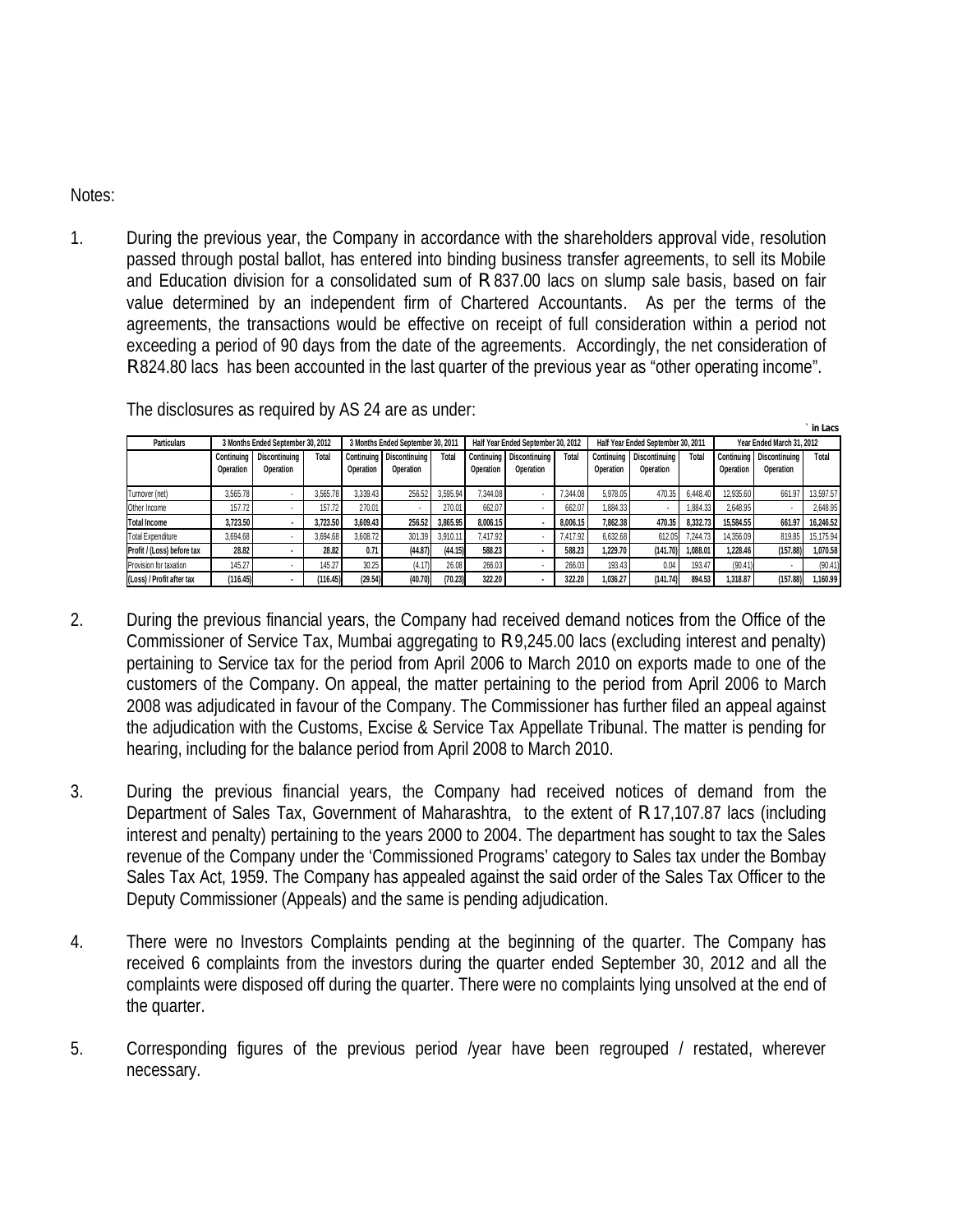Notes:

1. During the previous year, the Company in accordance with the shareholders approval vide, resolution passed through postal ballot, has entered into binding business transfer agreements, to sell its Mobile and Education division for a consolidated sum of R 837.00 lacs on slump sale basis, based on fair value determined by an independent firm of Chartered Accountants. As per the terms of the agreements, the transactions would be effective on receipt of full consideration within a period not exceeding a period of 90 days from the date of the agreements. Accordingly, the net consideration of R 824.80 lacs has been accounted in the last quarter of the previous year as "other operating income".

| ` in Lacs                                               |           |            |                                   |           |                                    |                          |                  |                                    |                            |           |                           |                                 |           |           |           |
|---------------------------------------------------------|-----------|------------|-----------------------------------|-----------|------------------------------------|--------------------------|------------------|------------------------------------|----------------------------|-----------|---------------------------|---------------------------------|-----------|-----------|-----------|
| <b>Particulars</b><br>3 Months Ended September 30, 2012 |           |            | 3 Months Ended September 30, 2011 |           | Half Year Ended September 30, 2012 |                          |                  | Half Year Ended September 30, 2011 |                            |           | Year Ended March 31, 2012 |                                 |           |           |           |
| <b>Discontinuing</b><br>Total<br>Continuing             |           | Continuing | Discontinuing                     | Total     |                                    | Continuing Discontinuing | <b>Total</b>     |                                    | Continuing   Discontinuing | Total     |                           | <b>Continuing Discontinuing</b> | Total     |           |           |
|                                                         | Operation | Operation  |                                   | Operation | Operation                          |                          | <b>Operation</b> | Operation                          |                            | Operation | Operation                 |                                 | Operation | Operation |           |
|                                                         |           |            |                                   |           |                                    |                          |                  |                                    |                            |           |                           |                                 |           |           |           |
| Turnover (net)                                          | 3.565.78  |            | 3.565.78                          | 3.339.43  | 256.52                             | 3.595.94                 | 7.344.08         |                                    | 7.344.08                   | 5.978.05  | 470.35                    | 6.448.40                        | 12.935.60 | 661.97    | 13.597.57 |
| Other Income                                            | 157.72    |            | 157.72                            | 270.01    |                                    | 270.01                   | 662.07           |                                    | 662.07                     | 1,884.33  |                           | 1.884.33                        | 2.648.95  |           | 2.648.95  |
| <b>Total Income</b>                                     | 3.723.50  |            | 3.723.50                          | 3,609.43  | 256.52                             | 3.865.95                 | 8.006.15         |                                    | 8.006.15                   | 7.862.38  | 470.35                    | 8.332.73                        | 15.584.55 | 661.97    | 16.246.52 |
| <b>Total Expenditure</b>                                | 3.694.68  |            | 3.694.68                          | 3.608.72  | 301.39                             | 3.910.11                 | 7.417.92         |                                    | 7.417.92                   | 6.632.68  | 612.05                    | 244.73                          | 14.356.09 | 819.85    | 15.175.94 |
| Profit / (Loss) before tax                              | 28.82     |            | 28.82                             | 0.71      | (44.87)                            | (44.15)                  | 588.23           |                                    | 588.23                     | 1.229.70  | (141.70)                  | 1.088.01                        | 1.228.46  | (157.88)  | 1.070.58  |
| Provision for taxation                                  | 145.27    |            | 145.27                            | 30.25     | (4.17)                             | 26.08                    | 266.03           |                                    | 266.03                     | 193.43    | 0.04                      | 193.47                          | (90.41)   |           | (90.41)   |
| (Loss) / Profit after tax                               | (116.45)  |            | (116.45)                          | (29.54)   | (40.70)                            | (70.23)                  | 322.20           | $\overline{\phantom{a}}$           | 322.20                     | 1.036.27  | (141.74)                  | 894.53                          | 1.318.87  | (157.88)  | 1.160.99  |

The disclosures as required by AS 24 are as under:

- 2. During the previous financial years, the Company had received demand notices from the Office of the Commissioner of Service Tax, Mumbai aggregating to R 9,245.00 lacs (excluding interest and penalty) pertaining to Service tax for the period from April 2006 to March 2010 on exports made to one of the customers of the Company. On appeal, the matter pertaining to the period from April 2006 to March 2008 was adjudicated in favour of the Company. The Commissioner has further filed an appeal against the adjudication with the Customs, Excise & Service Tax Appellate Tribunal. The matter is pending for hearing, including for the balance period from April 2008 to March 2010.
- 3. During the previous financial years, the Company had received notices of demand from the Department of Sales Tax, Government of Maharashtra, to the extent of R 17,107.87 lacs (including interest and penalty) pertaining to the years 2000 to 2004. The department has sought to tax the Sales revenue of the Company under the 'Commissioned Programs' category to Sales tax under the Bombay Sales Tax Act, 1959. The Company has appealed against the said order of the Sales Tax Officer to the Deputy Commissioner (Appeals) and the same is pending adjudication.
- 4. There were no Investors Complaints pending at the beginning of the quarter. The Company has received 6 complaints from the investors during the quarter ended September 30, 2012 and all the complaints were disposed off during the quarter. There were no complaints lying unsolved at the end of the quarter.
- 5. Corresponding figures of the previous period /year have been regrouped / restated, wherever necessary.